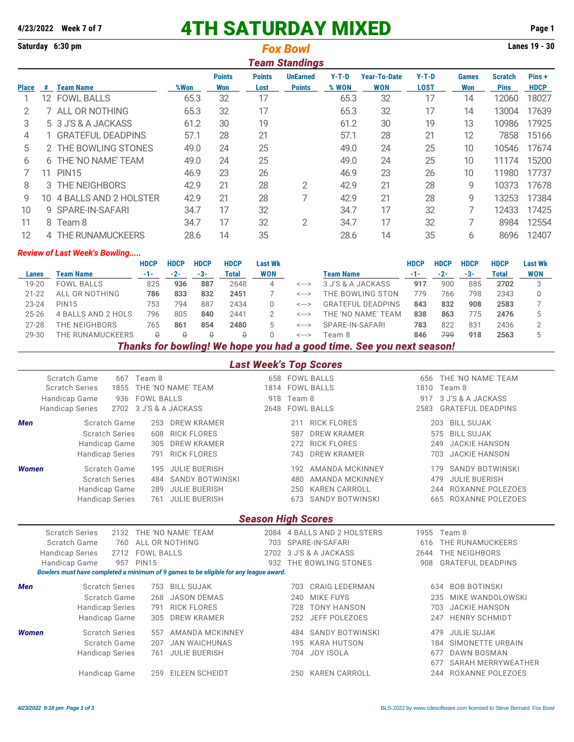## **4/23/2022 Week 7 of 7** 4TH SATURDAY MIXED **Page 1**

| Saturday 6:30 pm      |     |                          |      |                      | Lanes 19 - 30         |                                  |                |                                   |                        |                     |                        |                       |  |
|-----------------------|-----|--------------------------|------|----------------------|-----------------------|----------------------------------|----------------|-----------------------------------|------------------------|---------------------|------------------------|-----------------------|--|
| <b>Team Standings</b> |     |                          |      |                      |                       |                                  |                |                                   |                        |                     |                        |                       |  |
| Place                 | #   | <b>Team Name</b>         | %Won | <b>Points</b><br>Won | <b>Points</b><br>Lost | <b>UnEarned</b><br><b>Points</b> | Y-T-D<br>% WON | <b>Year-To-Date</b><br><b>WON</b> | $Y-T-D$<br><b>LOST</b> | <b>Games</b><br>Won | Scratch<br><b>Pins</b> | Pins +<br><b>HDCP</b> |  |
|                       | 12. | <b>FOWL BALLS</b>        | 65.3 | 32                   | 17                    |                                  | 65.3           | 32                                | 17                     | 14                  | 12060                  | 18027                 |  |
|                       |     | 7 ALL OR NOTHING         | 65.3 | 32                   | 17                    |                                  | 65.3           | 32                                | 17                     | 14                  | 13004                  | 17639                 |  |
| 3                     |     | 5 3 J'S & A JACKASS      | 61.2 | 30                   | 19                    |                                  | 61.2           | 30                                | 19                     | 13                  | 10986                  | 17925                 |  |
| 4                     |     | <b>GRATEFUL DEADPINS</b> | 57.1 | 28                   | 21                    |                                  | 57.1           | 28                                | 21                     | 12                  | 7858                   | 15166                 |  |
| 5                     |     | 2 THE BOWLING STONES     | 49.0 | 24                   | 25                    |                                  | 49.0           | 24                                | 25                     | 10                  | 10546                  | 17674                 |  |
| 6                     | 6.  | THE 'NO NAME' TEAM       | 49.0 | 24                   | 25                    |                                  | 49.0           | 24                                | 25                     | 10                  | 11174                  | 15200                 |  |
|                       | 11  | <b>PIN15</b>             | 46.9 | 23                   | 26                    |                                  | 46.9           | 23                                | 26                     | 10                  | 11980                  | 17737                 |  |
| 8                     |     | 3 THE NEIGHBORS          | 42.9 | 21                   | 28                    | 2                                | 42.9           | 21                                | 28                     | 9                   | 10373                  | 17678                 |  |
| 9                     | 10. | 4 BALLS AND 2 HOLSTER    | 42.9 | 21                   | 28                    |                                  | 42.9           | 21                                | 28                     | 9                   | 13253                  | 17384                 |  |
| 10                    | 9   | SPARE-IN-SAFARI          | 34.7 | 17                   | 32                    |                                  | 34.7           | 17                                | 32                     | 7                   | 12433                  | 17425                 |  |
| 11                    | 8   | Team 8                   | 34.7 | 17                   | 32                    | 2                                | 34.7           | 17                                | 32                     | 7                   | 8984                   | 12554                 |  |
| 12                    |     | 4 THE RUNAMUCKEERS       | 28.6 | 14                   | 35                    |                                  | 28.6           | 14                                | 35                     | 6                   | 8696                   | 12407                 |  |

## *Review of Last Week's Bowling.....*

|           |                    | HDCP  | <b>HDCP</b> | <b>HDCP</b> | <b>HDCP</b> | Last Wk    |       |                          | HDCP  | <b>HDCP</b> | <b>HDCP</b> | <b>HDCP</b> | <b>Last Wk</b> |
|-----------|--------------------|-------|-------------|-------------|-------------|------------|-------|--------------------------|-------|-------------|-------------|-------------|----------------|
| Lanes     | Team Name          | $-1-$ | $-2-$       | $-3-$       | Total       | <b>WON</b> |       | <b>Team Name</b>         | $-1-$ | $-2-$       | $-3-$       | Total       | <b>WON</b>     |
| 19-20     | <b>FOWL BALLS</b>  | 825   | 936         | 887         | 2648        |            | <---> | 3 J'S & A JACKASS        | 917   | 900         | 885         | 2702        |                |
| $21 - 22$ | ALL OR NOTHING     | 786   | 833         | 832         | 2451        |            | <---> | THE BOWLING STON         | 779   | 766         | 798         | 2343        | 0              |
| $23 - 24$ | <b>PIN15</b>       | 753   | 794         | 887         | 2434        |            | <---> | <b>GRATEFUL DEADPINS</b> | 843   | 832         | 908         | 2583        |                |
| $25 - 26$ | 4 BALLS AND 2 HOLS | 796   | 805         | 840         | 2441        |            | <---> | THE 'NO NAME' TEAM       | 838   | 863         | 775         | 2476        |                |
| $27 - 28$ | THE NEIGHBORS      | 765   | 861         | 854         | 2480        | b.         | <---> | SPARE-IN-SAFARI          | 783   | 822         | 831         | 2436        |                |
| 29-30     | THE RUNAMUCKEERS   |       |             | O           |             |            | <---> | Team 8                   | 846   | 799         | 918         | 2563        |                |
|           | ____               |       |             |             |             |            |       | _____                    |       |             |             |             |                |

*Thanks for bowling! We hope you had a good time. See you next season!*

## *Last Week's Top Scores*

|                                                                                                      | Scratch Game                                        | 667 Team 8             |                                                                                       | 658  |        | <b>FOWL BALLS</b>      | 656<br>1810 | THE 'NO NAME' TEAM            |  |  |  |  |  |
|------------------------------------------------------------------------------------------------------|-----------------------------------------------------|------------------------|---------------------------------------------------------------------------------------|------|--------|------------------------|-------------|-------------------------------|--|--|--|--|--|
|                                                                                                      | THE 'NO NAME' TEAM<br><b>Scratch Series</b><br>1855 |                        |                                                                                       | 1814 |        | <b>FOWL BALLS</b>      | Team 8      |                               |  |  |  |  |  |
|                                                                                                      | Handicap Game<br>936                                | <b>FOWL BALLS</b>      | 918                                                                                   |      | Team 8 |                        | 917         | 3 J'S & A JACKASS             |  |  |  |  |  |
|                                                                                                      | <b>Handicap Series</b>                              | 2702 3 J'S & A JACKASS |                                                                                       | 2648 |        | <b>FOWL BALLS</b>      | 2583        | <b>GRATEFUL DEADPINS</b>      |  |  |  |  |  |
| <b>Men</b>                                                                                           | Scratch Game                                        | 253                    | <b>DREW KRAMER</b>                                                                    |      | 211    | <b>RICK FLORES</b>     |             | <b>BILL SUJAK</b><br>203      |  |  |  |  |  |
|                                                                                                      | <b>Scratch Series</b>                               | 608                    | <b>RICK FLORES</b>                                                                    |      | 587    | <b>DREW KRAMER</b>     |             | <b>BILL SUJAK</b><br>575      |  |  |  |  |  |
|                                                                                                      | Handicap Game                                       | 305                    | <b>DREW KRAMER</b>                                                                    |      | 272    | <b>RICK FLORES</b>     |             | <b>JACKIE HANSON</b><br>249   |  |  |  |  |  |
|                                                                                                      | <b>Handicap Series</b>                              | 791                    | <b>RICK FLORES</b>                                                                    |      | 743    | <b>DREW KRAMER</b>     |             | <b>JACKIE HANSON</b><br>703   |  |  |  |  |  |
| <b>Women</b>                                                                                         | Scratch Game                                        | 195                    | <b>JULIE BUERISH</b>                                                                  |      | 192    | AMANDA MCKINNEY        |             | <b>SANDY BOTWINSKI</b><br>179 |  |  |  |  |  |
|                                                                                                      | <b>Scratch Series</b>                               | 484                    | <b>SANDY BOTWINSKI</b>                                                                |      | 480    | <b>AMANDA MCKINNEY</b> |             | <b>JULIE BUERISH</b><br>479   |  |  |  |  |  |
|                                                                                                      | Handicap Game                                       | 289                    | <b>JULIE BUERISH</b>                                                                  |      | 250    | <b>KAREN CARROLL</b>   |             | ROXANNE POLEZOES<br>244       |  |  |  |  |  |
|                                                                                                      | <b>Handicap Series</b>                              | 761                    | <b>JULIE BUERISH</b>                                                                  |      | 673    | <b>SANDY BOTWINSKI</b> |             | ROXANNE POLEZOES<br>665       |  |  |  |  |  |
|                                                                                                      | <b>Season High Scores</b>                           |                        |                                                                                       |      |        |                        |             |                               |  |  |  |  |  |
| THE 'NO NAME' TEAM<br>2084 4 BALLS AND 2 HOLSTERS<br><b>Scratch Series</b><br>Team 8<br>2132<br>1955 |                                                     |                        |                                                                                       |      |        |                        |             |                               |  |  |  |  |  |
|                                                                                                      | Scratch Game<br>760                                 |                        | ALL OR NOTHING                                                                        | 703  |        | SPARE-IN-SAFARI        | 616         | THE RUNAMUCKEERS              |  |  |  |  |  |
|                                                                                                      | <b>Handicap Series</b><br>2712                      | <b>FOWL BALLS</b>      |                                                                                       | 2702 |        | 3 J'S & A JACKASS      | 2644        | <b>THE NEIGHBORS</b>          |  |  |  |  |  |
|                                                                                                      | Handicap Game<br>957                                | <b>PIN15</b>           |                                                                                       | 932  |        | THE BOWLING STONES     | 908         | <b>GRATEFUL DEADPINS</b>      |  |  |  |  |  |
|                                                                                                      |                                                     |                        | Bowlers must have completed a minimum of 9 games to be eligible for any league award. |      |        |                        |             |                               |  |  |  |  |  |
| <b>Men</b>                                                                                           | <b>Scratch Series</b>                               | 753                    | <b>BILL SUJAK</b>                                                                     |      | 703    | <b>CRAIG LEDERMAN</b>  |             | <b>BOB BOTINSKI</b><br>634    |  |  |  |  |  |
|                                                                                                      | Scratch Game                                        | 268                    | <b>JASON DEMAS</b>                                                                    |      | 240    | <b>MIKE FUYS</b>       |             | MIKE WANDOLOWSKI<br>235       |  |  |  |  |  |
|                                                                                                      | <b>Handicap Series</b>                              | 791                    | <b>RICK FLORES</b>                                                                    |      | 728    | <b>TONY HANSON</b>     |             | <b>JACKIE HANSON</b><br>703   |  |  |  |  |  |
|                                                                                                      | Handicap Game                                       | 305                    | <b>DREW KRAMER</b>                                                                    |      | 252    | <b>JEFF POLEZOES</b>   |             | <b>HENRY SCHMIDT</b><br>247   |  |  |  |  |  |
|                                                                                                      |                                                     |                        |                                                                                       |      |        |                        |             |                               |  |  |  |  |  |
| <b>Women</b>                                                                                         | <b>Scratch Series</b>                               | 557                    | <b>AMANDA MCKINNEY</b>                                                                |      | 484    | <b>SANDY BOTWINSKI</b> |             | <b>JULIE SUJAK</b><br>479     |  |  |  |  |  |
|                                                                                                      | Scratch Game                                        | 207                    | <b>JAN WAICHUNAS</b>                                                                  |      | 195    | <b>KARA HUTSON</b>     |             | SIMONETTE URBAIN<br>184       |  |  |  |  |  |
|                                                                                                      | <b>Handicap Series</b>                              | 761                    | <b>JULIE BUERISH</b>                                                                  |      | 704    | <b>JOY ISOLA</b>       |             | <b>DAWN BOSMAN</b><br>677     |  |  |  |  |  |
|                                                                                                      |                                                     |                        |                                                                                       |      |        |                        |             | SARAH MERRYWEATHER<br>677     |  |  |  |  |  |